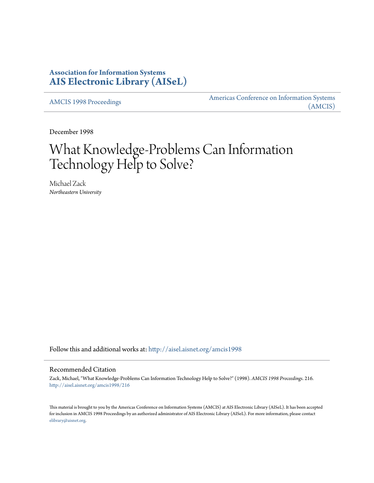## **Association for Information Systems [AIS Electronic Library \(AISeL\)](http://aisel.aisnet.org?utm_source=aisel.aisnet.org%2Famcis1998%2F216&utm_medium=PDF&utm_campaign=PDFCoverPages)**

[AMCIS 1998 Proceedings](http://aisel.aisnet.org/amcis1998?utm_source=aisel.aisnet.org%2Famcis1998%2F216&utm_medium=PDF&utm_campaign=PDFCoverPages)

[Americas Conference on Information Systems](http://aisel.aisnet.org/amcis?utm_source=aisel.aisnet.org%2Famcis1998%2F216&utm_medium=PDF&utm_campaign=PDFCoverPages) [\(AMCIS\)](http://aisel.aisnet.org/amcis?utm_source=aisel.aisnet.org%2Famcis1998%2F216&utm_medium=PDF&utm_campaign=PDFCoverPages)

December 1998

# What Knowledge-Problems Can Information Technology Help to Solve?

Michael Zack *Northeastern University*

Follow this and additional works at: [http://aisel.aisnet.org/amcis1998](http://aisel.aisnet.org/amcis1998?utm_source=aisel.aisnet.org%2Famcis1998%2F216&utm_medium=PDF&utm_campaign=PDFCoverPages)

#### Recommended Citation

Zack, Michael, "What Knowledge-Problems Can Information Technology Help to Solve?" (1998). *AMCIS 1998 Proceedings*. 216. [http://aisel.aisnet.org/amcis1998/216](http://aisel.aisnet.org/amcis1998/216?utm_source=aisel.aisnet.org%2Famcis1998%2F216&utm_medium=PDF&utm_campaign=PDFCoverPages)

This material is brought to you by the Americas Conference on Information Systems (AMCIS) at AIS Electronic Library (AISeL). It has been accepted for inclusion in AMCIS 1998 Proceedings by an authorized administrator of AIS Electronic Library (AISeL). For more information, please contact [elibrary@aisnet.org.](mailto:elibrary@aisnet.org%3E)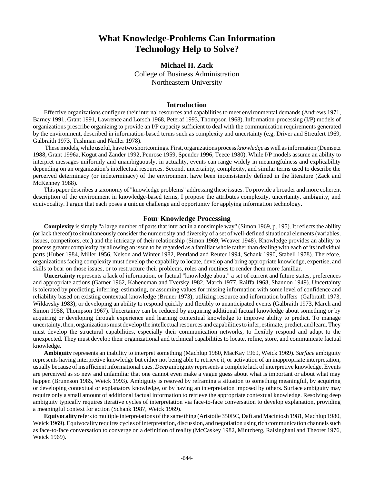## **What Knowledge-Problems Can Information Technology Help to Solve?**

### **Michael H. Zack** College of Business Administration Northeastern University

#### **Introduction**

Effective organizations configure their internal resources and capabilities to meet environmental demands (Andrews 1971, Barney 1991, Grant 1991, Lawrence and Lorsch 1968, Peteraf 1993, Thompson 1968). Information-processing (I/P) models of organizations prescribe organizing to provide an I/P capacity sufficient to deal with the communication requirements generated by the environment, described in information-based terms such as complexity and uncertainty (e.g, Driver and Streufert 1969, Galbraith 1973, Tushman and Nadler 1978).

 These models, while useful, have two shortcomings. First, organizations process *knowledge* as well as information (Demsetz 1988, Grant 1996a, Kogut and Zander 1992, Penrose 1959, Spender 1996, Teece 1980). While I/P models assume an ability to interpret messages uniformly and unambiguously, in actuality, events can range widely in meaningfulness and explicability depending on an organization's intellectual resources. Second, uncertainty, complexity, and similar terms used to describe the perceived determinacy (or indeterminacy) of the environment have been inconsistently defined in the literature (Zack and McKenney 1988).

This paper describes a taxonomy of "knowledge problems" addressing these issues. To provide a broader and more coherent description of the environment in knowledge-based terms, I propose the attributes complexity, uncertainty, ambiguity, and equivocality. I argue that each poses a unique challenge and opportunity for applying information technology.

#### **Four Knowledge Processing**

**Complexity** is simply "a large number of parts that interact in a nonsimple way" (Simon 1969, p. 195). It reflects the ability (or lack thereof) to simultaneously consider the numerosity and diversity of a set of well-defined situational elements (variables, issues, competitors, etc.) and the intricacy of their relationship (Simon 1969, Weaver 1948). Knowledge provides an ability to process greater complexity by allowing an issue to be regarded as a familiar whole rather than dealing with each of its individual parts (Huber 1984, Miller 1956, Nelson and Winter 1982, Pentland and Reuter 1994, Schank 1990, Stabell 1978). Therefore, organizations facing complexity must develop the capability to locate, develop and bring appropriate knowledge, expertise, and skills to bear on those issues, or to restructure their problems, roles and routines to render them more familiar.

**Uncertainty** represents a lack of information, or factual "knowledge about" a set of current and future states, preferences and appropriate actions (Garner 1962, Kaheneman and Tversky 1982, March 1977, Raiffa 1968, Shannon 1949). Uncertainty is tolerated by predicting, inferring, estimating, or assuming values for missing information with some level of confidence and reliability based on existing contextual knowledge (Bruner 1973); utilizing resource and information buffers (Galbraith 1973, Wildavsky 1983); or developing an ability to respond quickly and flexibly to unanticipated events (Galbraith 1973, March and Simon 1958, Thompson 1967). Uncertainty can be reduced by acquiring additional factual knowledge about something or by acquiring or developing through experience and learning contextual knowledge to improve ability to predict. To manage uncertainty, then, organizations must develop the intellectual resources and capabilities to infer, estimate, predict, and learn. They must develop the structural capabilities, especially their communication networks, to flexibly respond and adapt to the unexpected. They must develop their organizational and technical capabilities to locate, refine, store, and communicate factual knowledge.

**Ambiguity** represents an inability to interpret something (Machlup 1980, MacKay 1969, Weick 1969). *Surface* ambiguity represents having interpretive knowledge but either not being able to retrieve it, or activation of an inappropriate interpretation, usually because of insufficient informational cues. *Deep* ambiguity represents a complete lack of interpretive knowledge. Events are perceived as so new and unfamiliar that one cannot even make a vague guess about what is important or about what may happen (Brunnson 1985, Weick 1993). Ambiguity is resoved by reframing a situation to something meaningful, by acquiring or developing contextual or explanatory knowledge, or by having an interpretation imposed by others. Surface ambiguity may require only a small amount of additional factual information to retrieve the appropriate contextual knowledge. Resolving deep ambiguity typically requires iterative cycles of interpretation via face-to-face conversation to develop explanation, providing a meaningful context for action (Schank 1987, Weick 1969).

**Equivocality** refers to multiple interpretations of the same thing (Aristotle 350BC, Daft and Macintosh 1981, Machlup 1980, Weick 1969). Equivocality requires cycles of interpretation, discussion, and negotiation using rich communication channels such as face-to-face conversation to converge on a definition of reality (McCaskey 1982, Mintzberg, Raisinghani and Theoret 1976, Weick 1969).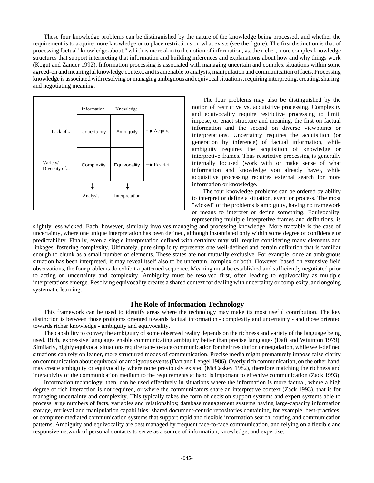These four knowledge problems can be distinguished by the nature of the knowledge being processed, and whether the requirement is to acquire more knowledge or to place restrictions on what exists (see the figure). The first distinction is that of processing factual "knowledge-about," which is more akin to the notion of information, vs. the richer, more complex knowledge structures that support interpreting that information and building inferences and explanations about how and why things work (Kogut and Zander 1992). Information processing is associated with managing uncertain and complex situations within some agreed-on and meaningful knowledge context, and is amenable to analysis, manipulation and communication of facts. Processing knowledge is associated with resolving or managing ambiguous and equivocal situations, requiring interpreting, creating, sharing, and negotiating meaning.



The four problems may also be distinguished by the notion of restrictive vs. acquisitive processing. Complexity and equivocality require restrictive processing to limit, impose, or enact structure and meaning, the first on factual information and the second on diverse viewpoints or interpretations. Uncertainty requires the acquisition (or generation by inference) of factual information, while ambiguity requires the acquisition of knowledge or interpretive frames. Thus restrictive processing is generally internally focused (work with or make sense of what information and knowledge you already have), while acquisitive processing requires external search for more information or knowledge.

The four knowledge problems can be ordered by ability to interpret or define a situation, event or process. The most "wicked" of the problems is ambiguity, having no framework or means to interpret or define something. Equivocality, representing multiple interpretive frames and definitions, is

slightly less wicked. Each, however, similarly involves managing and processing knowledge. More tractable is the case of uncertainty, where one unique interpretation has been defined, although instantiated only within some degree of confidence or predictability. Finally, even a single interpretation defined with certainty may still require considering many elements and linkages, fostering complexity. Ultimately, pure simplicity represents one well-defined and certain definition that is familiar enough to chunk as a small number of elements. These states are not mutually exclusive. For example, once an ambiguous situation has been interpreted, it may reveal itself also to be uncertain, complex or both. However, based on extensive field observations, the four problems do exhibit a patterned sequence. Meaning must be established and sufficiently negotiated prior to acting on uncertainty and complexity. Ambiguity must be resolved first, often leading to equivocality as multiple interpretations emerge. Resolving equivocality creates a shared context for dealing with uncertainty or complexity, and ongoing systematic learning.

#### **The Role of Information Technology**

This framework can be used to identify areas where the technology may make its most useful contribution. The key distinction is between those problems oriented towards factual information - complexity and uncertainty - and those oriented towards richer knowledge - ambiguity and equivocality.

The capability to convey the ambiguity of some observed reality depends on the richness and variety of the language being used. Rich, expressive languages enable communicating ambiguity better than precise languages (Daft and Wiginton 1979). Similarly, highly equivocal situations require face-to-face communication for their resolution or negotiation, while well-defined situations can rely on leaner, more structured modes of communication. Precise media might prematurely impose false clarity on communication about equivocal or ambiguous events (Daft and Lengel 1986). Overly rich communication, on the other hand, may create ambiguity or equivocality where none previously existed (McCaskey 1982), therefore matching the richness and interactivity of the communication medium to the requirements at hand is important to effective communication (Zack 1993).

Information technology, then, can be used effectively in situations where the information is more factual, where a high degree of rich interaction is not required, or where the communicators share an interpretive context (Zack 1993), that is for managing uncertainty and complexity. This typically takes the form of decision support systems and expert systems able to process large numbers of facts, variables and relationships; database management systems having large-capacity information storage, retrieval and manipulation capabilities; shared document-centric repositories containing, for example, best-practices; or computer-mediated communication systems that support rapid and flexible information search, routing and communication patterns. Ambiguity and equivocality are best managed by frequent face-to-face communication, and relying on a flexible and responsive network of personal contacts to serve as a source of information, knowledge, and expertise.